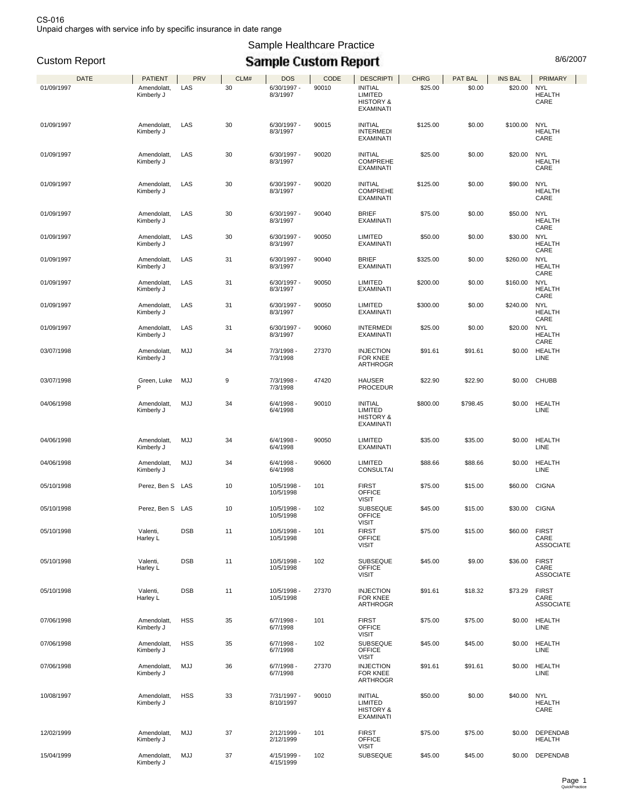## Sample Healthcare Practice

## Custom Report **New Patient Report** 8/6/2007

| 00000000000000 |                           |            |      | aambie aasmin izehni r    |       |                                                                              |             |          |                |                                          |
|----------------|---------------------------|------------|------|---------------------------|-------|------------------------------------------------------------------------------|-------------|----------|----------------|------------------------------------------|
| <b>DATE</b>    | <b>PATIENT</b>            | PRV        | CLM# | <b>DOS</b>                | CODE  | <b>DESCRIPTI</b>                                                             | <b>CHRG</b> | PAT BAL  | <b>INS BAL</b> | PRIMARY                                  |
| 01/09/1997     | Amendolatt,<br>Kimberly J | LAS        | 30   | 6/30/1997 -<br>8/3/1997   | 90010 | <b>INITIAL</b><br>LIMITED<br><b>HISTORY &amp;</b><br><b>EXAMINATI</b>        | \$25.00     | \$0.00   | \$20.00        | <b>NYL</b><br><b>HEALTH</b><br>CARE      |
| 01/09/1997     | Amendolatt,<br>Kimberly J | LAS        | 30   | 6/30/1997 -<br>8/3/1997   | 90015 | <b>INITIAL</b><br><b>INTERMEDI</b><br><b>EXAMINATI</b>                       | \$125.00    | \$0.00   | \$100.00       | <b>NYL</b><br><b>HEALTH</b><br>CARE      |
| 01/09/1997     | Amendolatt,<br>Kimberly J | LAS        | 30   | 6/30/1997 -<br>8/3/1997   | 90020 | <b>INITIAL</b><br><b>COMPREHE</b><br>EXAMINATI                               | \$25.00     | \$0.00   | \$20.00        | <b>NYL</b><br><b>HEALTH</b><br>CARE      |
| 01/09/1997     | Amendolatt,<br>Kimberly J | LAS        | 30   | 6/30/1997 -<br>8/3/1997   | 90020 | <b>INITIAL</b><br><b>COMPREHE</b><br><b>EXAMINATI</b>                        | \$125.00    | \$0.00   | \$90.00        | <b>NYL</b><br><b>HEALTH</b><br>CARE      |
| 01/09/1997     | Amendolatt,<br>Kimberly J | LAS        | 30   | 6/30/1997 -<br>8/3/1997   | 90040 | <b>BRIEF</b><br>EXAMINATI                                                    | \$75.00     | \$0.00   | \$50.00        | <b>NYL</b><br><b>HEALTH</b><br>CARE      |
| 01/09/1997     | Amendolatt,<br>Kimberly J | LAS        | 30   | $6/30/1997 -$<br>8/3/1997 | 90050 | LIMITED<br>EXAMINATI                                                         | \$50.00     | \$0.00   | \$30.00        | <b>NYL</b><br><b>HEALTH</b><br>CARE      |
| 01/09/1997     | Amendolatt,<br>Kimberly J | LAS        | 31   | 6/30/1997 -<br>8/3/1997   | 90040 | <b>BRIEF</b><br>EXAMINATI                                                    | \$325.00    | \$0.00   | \$260.00       | <b>NYL</b><br><b>HEALTH</b><br>CARE      |
| 01/09/1997     | Amendolatt,<br>Kimberly J | LAS        | 31   | 6/30/1997 -<br>8/3/1997   | 90050 | LIMITED<br><b>EXAMINATI</b>                                                  | \$200.00    | \$0.00   | \$160.00       | <b>NYL</b><br><b>HEALTH</b><br>CARE      |
| 01/09/1997     | Amendolatt,<br>Kimberly J | LAS        | 31   | 6/30/1997 -<br>8/3/1997   | 90050 | LIMITED<br>EXAMINATI                                                         | \$300.00    | \$0.00   | \$240.00       | <b>NYL</b><br><b>HEALTH</b><br>CARE      |
| 01/09/1997     | Amendolatt,<br>Kimberly J | LAS        | 31   | 6/30/1997 -<br>8/3/1997   | 90060 | <b>INTERMEDI</b><br><b>EXAMINATI</b>                                         | \$25.00     | \$0.00   | \$20.00        | <b>NYL</b><br><b>HEALTH</b><br>CARE      |
| 03/07/1998     | Amendolatt,<br>Kimberly J | <b>MJJ</b> | 34   | 7/3/1998 -<br>7/3/1998    | 27370 | <b>INJECTION</b><br>FOR KNEE<br>ARTHROGR                                     | \$91.61     | \$91.61  | \$0.00         | <b>HEALTH</b><br>LINE                    |
| 03/07/1998     | Green, Luke<br>P          | MJJ        | 9    | 7/3/1998 -<br>7/3/1998    | 47420 | <b>HAUSER</b><br><b>PROCEDUR</b>                                             | \$22.90     | \$22.90  | \$0.00         | <b>CHUBB</b>                             |
| 04/06/1998     | Amendolatt,<br>Kimberly J | MJJ        | 34   | $6/4/1998 -$<br>6/4/1998  | 90010 | <b>INITIAL</b><br>LIMITED<br><b>HISTORY &amp;</b><br><b>EXAMINATI</b>        | \$800.00    | \$798.45 | \$0.00         | <b>HEALTH</b><br>LINE                    |
| 04/06/1998     | Amendolatt,<br>Kimberly J | MJJ        | 34   | $6/4/1998 -$<br>6/4/1998  | 90050 | LIMITED<br><b>EXAMINATI</b>                                                  | \$35.00     | \$35.00  | \$0.00         | <b>HEALTH</b><br>LINE                    |
| 04/06/1998     | Amendolatt,<br>Kimberly J | MJJ        | 34   | $6/4/1998 -$<br>6/4/1998  | 90600 | LIMITED<br><b>CONSULTAI</b>                                                  | \$88.66     | \$88.66  | \$0.00         | <b>HEALTH</b><br>LINE                    |
| 05/10/1998     | Perez, Ben S LAS          |            | 10   | 10/5/1998 -<br>10/5/1998  | 101   | <b>FIRST</b><br><b>OFFICE</b><br><b>VISIT</b>                                | \$75.00     | \$15.00  | \$60.00        | <b>CIGNA</b>                             |
| 05/10/1998     | Perez, Ben S LAS          |            | 10   | 10/5/1998 -<br>10/5/1998  | 102   | <b>SUBSEQUE</b><br><b>OFFICE</b><br>VISIT                                    | \$45.00     | \$15.00  | \$30.00        | <b>CIGNA</b>                             |
| 05/10/1998     | Valenti,<br>Harley L      | <b>DSB</b> | 11   | 10/5/1998 -<br>10/5/1998  | 101   | <b>FIRST</b><br><b>OFFICE</b><br><b>VISIT</b>                                | \$75.00     | \$15.00  | \$60.00        | <b>FIRST</b><br>CARE<br><b>ASSOCIATE</b> |
| 05/10/1998     | Valenti,<br>Harley L      | <b>DSB</b> | 11   | 10/5/1998 -<br>10/5/1998  | 102   | <b>SUBSEQUE</b><br><b>OFFICE</b><br><b>VISIT</b>                             | \$45.00     | \$9.00   | \$36.00        | <b>FIRST</b><br>CARE<br><b>ASSOCIATE</b> |
| 05/10/1998     | Valenti,<br>Harley L      | <b>DSB</b> | 11   | 10/5/1998 -<br>10/5/1998  | 27370 | <b>INJECTION</b><br>FOR KNEE<br>ARTHROGR                                     | \$91.61     | \$18.32  | \$73.29        | <b>FIRST</b><br>CARE<br><b>ASSOCIATE</b> |
| 07/06/1998     | Amendolatt,<br>Kimberly J | HSS        | 35   | $6/7/1998 -$<br>6/7/1998  | 101   | <b>FIRST</b><br>OFFICE<br><b>VISIT</b>                                       | \$75.00     | \$75.00  | \$0.00         | <b>HEALTH</b><br>LINE                    |
| 07/06/1998     | Amendolatt,<br>Kimberly J | HSS        | 35   | $6/7/1998 -$<br>6/7/1998  | 102   | <b>SUBSEQUE</b><br><b>OFFICE</b><br><b>VISIT</b>                             | \$45.00     | \$45.00  | \$0.00         | HEALTH<br>LINE                           |
| 07/06/1998     | Amendolatt,<br>Kimberly J | <b>MJJ</b> | 36   | $6/7/1998 -$<br>6/7/1998  | 27370 | <b>INJECTION</b><br>FOR KNEE<br><b>ARTHROGR</b>                              | \$91.61     | \$91.61  | \$0.00         | <b>HEALTH</b><br>LINE                    |
| 10/08/1997     | Amendolatt,<br>Kimberly J | <b>HSS</b> | 33   | 7/31/1997 -<br>8/10/1997  | 90010 | <b>INITIAL</b><br><b>LIMITED</b><br><b>HISTORY &amp;</b><br><b>EXAMINATI</b> | \$50.00     | \$0.00   | \$40.00        | <b>NYL</b><br><b>HEALTH</b><br>CARE      |
| 12/02/1999     | Amendolatt,<br>Kimberly J | <b>MJJ</b> | 37   | 2/12/1999 -<br>2/12/1999  | 101   | <b>FIRST</b><br>OFFICE<br><b>VISIT</b>                                       | \$75.00     | \$75.00  | \$0.00         | <b>DEPENDAB</b><br><b>HEALTH</b>         |
| 15/04/1999     | Amendolatt,<br>Kimberly J | MJJ        | 37   | 4/15/1999 -<br>4/15/1999  | 102   | <b>SUBSEQUE</b>                                                              | \$45.00     | \$45.00  | \$0.00         | <b>DEPENDAB</b>                          |